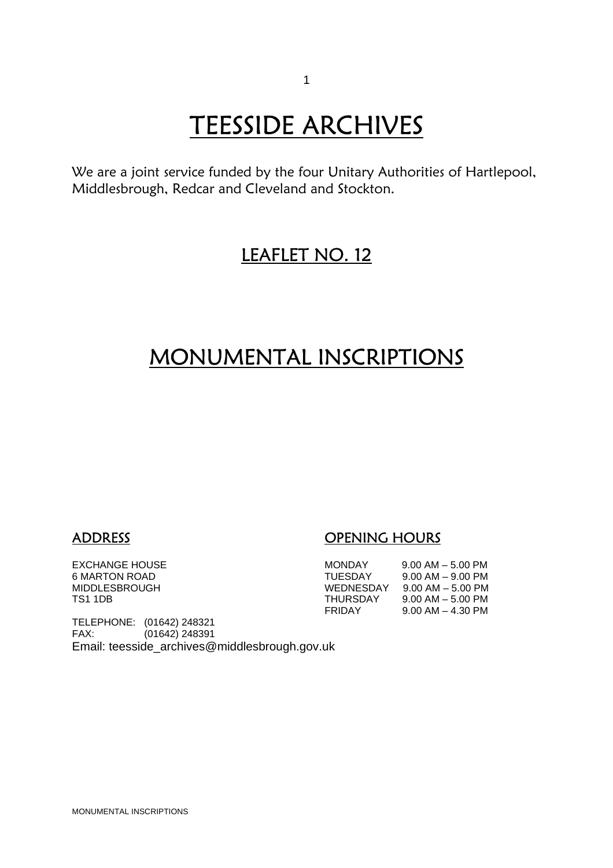# **TEESSIDE ARCHIVES**<br>We are a joint service funded by the four Unitary Authorities of Hartlepool,

Middlesbrough, Redcar and Cleveland and Stockton.

### LEAFLET NO. 12

### MONUMENTAL INSCRIPTIONS

### ADDRESS OPENING HOURS

| <b>MONDAY</b> | $9.00$ AM $-5.00$ PM  |
|---------------|-----------------------|
| TUESDAY       | $9.00$ AM $ 9.00$ PM  |
| WEDNESDAY     | $9.00$ AM $-5.00$ PM  |
| THURSDAY      | $9.00$ AM $-5.00$ PM  |
| FRIDAY        | $9.00$ AM $-$ 4.30 PM |
|               |                       |

TELEPHONE: (01642) 248321 FAX: (01642) 248391 Email: teesside\_archives@middlesbrough.gov.uk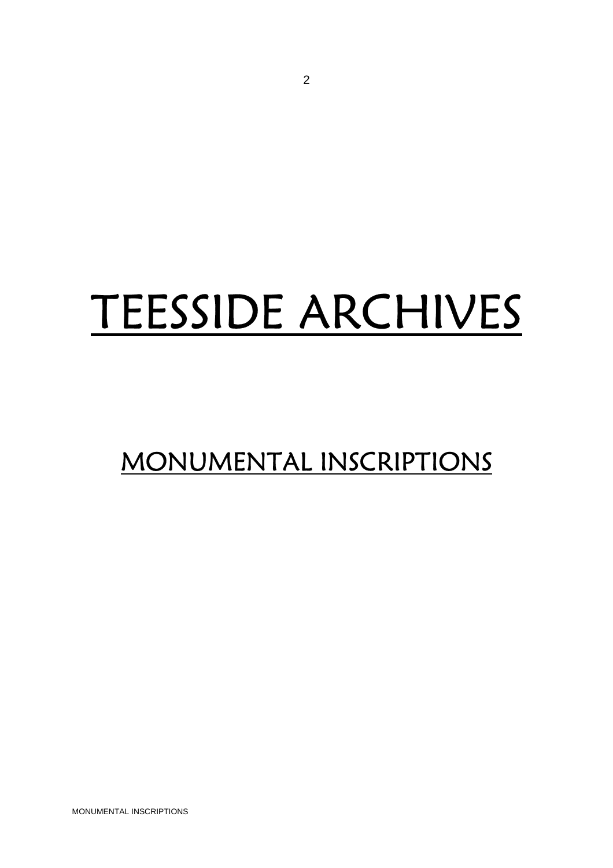## TEESSIDE ARCHIVES

## MONUMENTAL INSCRIPTIONS

MONUMENTAL INSCRIPTIONS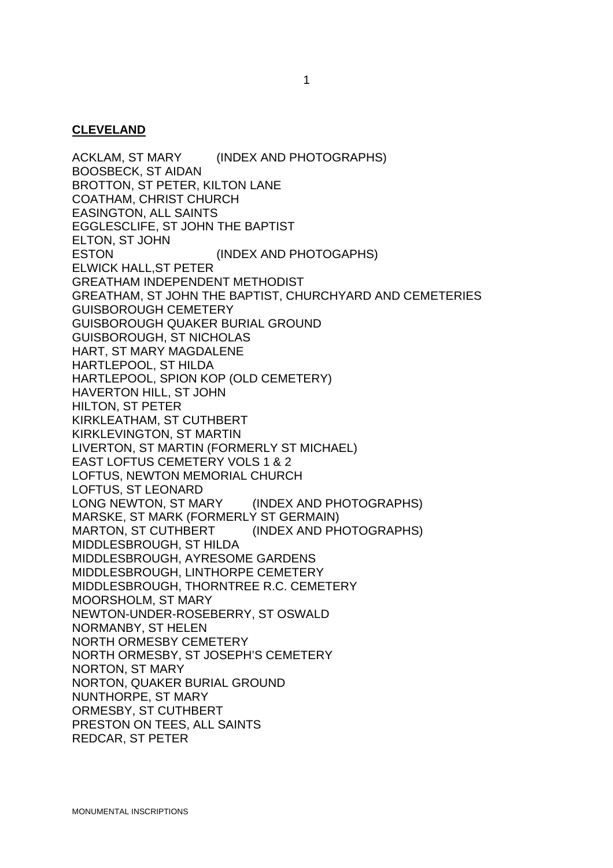#### **CLEVELAND**

ACKLAM, ST MARY (INDEX AND PHOTOGRAPHS) BOOSBECK, ST AIDAN BROTTON, ST PETER, KILTON LANE COATHAM, CHRIST CHURCH EASINGTON, ALL SAINTS EGGLESCLIFE, ST JOHN THE BAPTIST ELTON, ST JOHN ESTON (INDEX AND PHOTOGAPHS) ELWICK HALL,ST PETER GREATHAM INDEPENDENT METHODIST GREATHAM, ST JOHN THE BAPTIST, CHURCHYARD AND CEMETERIES GUISBOROUGH CEMETERY GUISBOROUGH QUAKER BURIAL GROUND GUISBOROUGH, ST NICHOLAS HART, ST MARY MAGDALENE HARTLEPOOL, ST HILDA HARTLEPOOL, SPION KOP (OLD CEMETERY) HAVERTON HILL, ST JOHN HILTON, ST PETER KIRKLEATHAM, ST CUTHBERT KIRKLEVINGTON, ST MARTIN LIVERTON, ST MARTIN (FORMERLY ST MICHAEL) EAST LOFTUS CEMETERY VOLS 1 & 2 LOFTUS, NEWTON MEMORIAL CHURCH LOFTUS, ST LEONARD LONG NEWTON, ST MARY (INDEX AND PHOTOGRAPHS) MARSKE, ST MARK (FORMERLY ST GERMAIN) MARTON, ST CUTHBERT (INDEX AND PHOTOGRAPHS) MIDDLESBROUGH, ST HILDA MIDDLESBROUGH, AYRESOME GARDENS MIDDLESBROUGH, LINTHORPE CEMETERY MIDDLESBROUGH, THORNTREE R.C. CEMETERY MOORSHOLM, ST MARY NEWTON-UNDER-ROSEBERRY, ST OSWALD NORMANBY, ST HELEN NORTH ORMESBY CEMETERY NORTH ORMESBY, ST JOSEPH'S CEMETERY NORTON, ST MARY NORTON, QUAKER BURIAL GROUND NUNTHORPE, ST MARY ORMESBY, ST CUTHBERT PRESTON ON TEES, ALL SAINTS REDCAR, ST PETER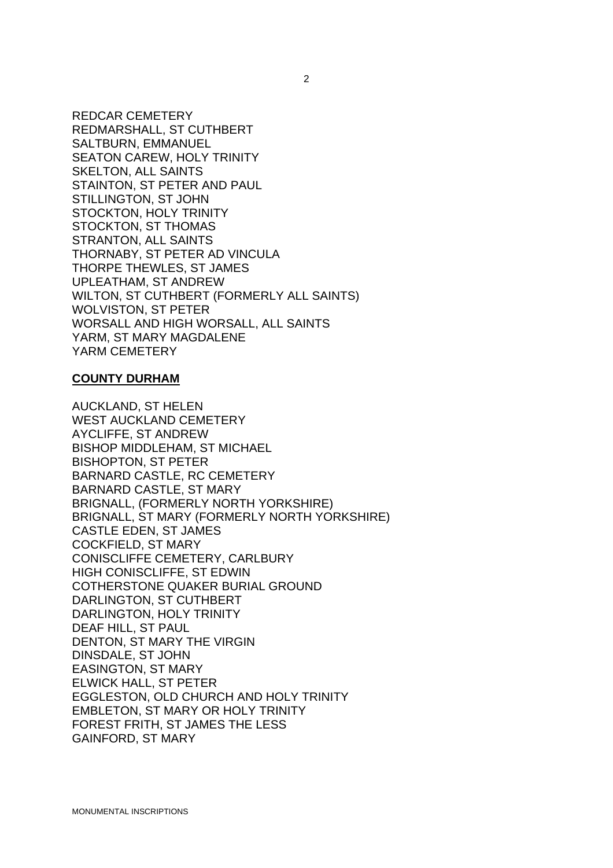REDCAR CEMETERY REDMARSHALL, ST CUTHBERT SALTBURN, EMMANUEL SEATON CAREW, HOLY TRINITY SKELTON, ALL SAINTS STAINTON, ST PETER AND PAUL STILLINGTON, ST JOHN STOCKTON, HOLY TRINITY STOCKTON, ST THOMAS STRANTON, ALL SAINTS THORNABY, ST PETER AD VINCULA THORPE THEWLES, ST JAMES UPLEATHAM, ST ANDREW WILTON, ST CUTHBERT (FORMERLY ALL SAINTS) WOLVISTON, ST PETER WORSALL AND HIGH WORSALL, ALL SAINTS YARM, ST MARY MAGDALENE YARM CEMETERY

### **COUNTY DURHAM**

AUCKLAND, ST HELEN WEST AUCKLAND CEMETERY AYCLIFFE, ST ANDREW BISHOP MIDDLEHAM, ST MICHAEL BISHOPTON, ST PETER BARNARD CASTLE, RC CEMETERY BARNARD CASTLE, ST MARY BRIGNALL, (FORMERLY NORTH YORKSHIRE) BRIGNALL, ST MARY (FORMERLY NORTH YORKSHIRE) CASTLE EDEN, ST JAMES COCKFIELD, ST MARY CONISCLIFFE CEMETERY, CARLBURY HIGH CONISCLIFFE, ST EDWIN COTHERSTONE QUAKER BURIAL GROUND DARLINGTON, ST CUTHBERT DARLINGTON, HOLY TRINITY DEAF HILL, ST PAUL DENTON, ST MARY THE VIRGIN DINSDALE, ST JOHN EASINGTON, ST MARY ELWICK HALL, ST PETER EGGLESTON, OLD CHURCH AND HOLY TRINITY EMBLETON, ST MARY OR HOLY TRINITY FOREST FRITH, ST JAMES THE LESS GAINFORD, ST MARY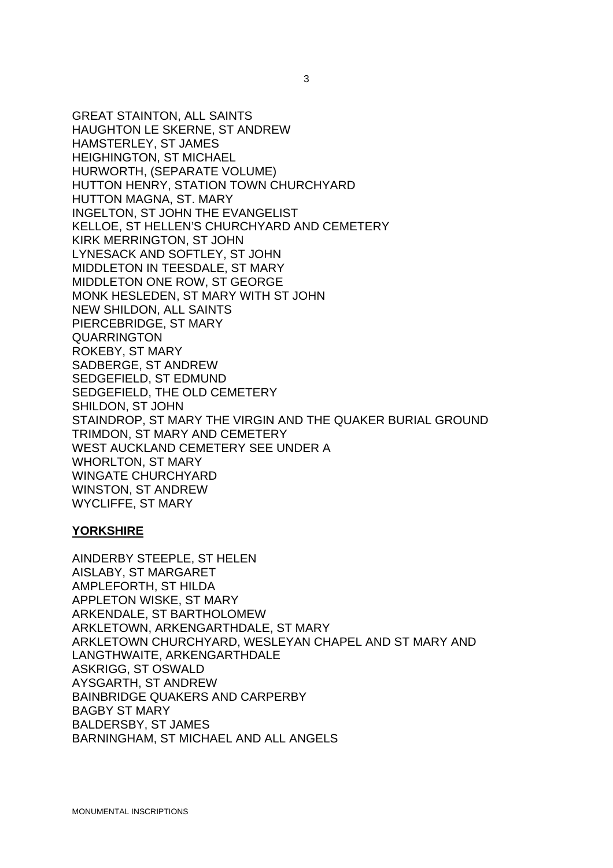GREAT STAINTON, ALL SAINTS HAUGHTON LE SKERNE, ST ANDREW HAMSTERLEY, ST JAMES HEIGHINGTON, ST MICHAEL HURWORTH, (SEPARATE VOLUME) HUTTON HENRY, STATION TOWN CHURCHYARD HUTTON MAGNA, ST. MARY INGELTON, ST JOHN THE EVANGELIST KELLOE, ST HELLEN'S CHURCHYARD AND CEMETERY KIRK MERRINGTON, ST JOHN LYNESACK AND SOFTLEY, ST JOHN MIDDLETON IN TEESDALE, ST MARY MIDDLETON ONE ROW, ST GEORGE MONK HESLEDEN, ST MARY WITH ST JOHN NEW SHILDON, ALL SAINTS PIERCEBRIDGE, ST MARY QUARRINGTON ROKEBY, ST MARY SADBERGE, ST ANDREW SEDGEFIELD, ST EDMUND SEDGEFIELD, THE OLD CEMETERY SHILDON, ST JOHN STAINDROP, ST MARY THE VIRGIN AND THE QUAKER BURIAL GROUND TRIMDON, ST MARY AND CEMETERY WEST AUCKLAND CEMETERY SEE UNDER A WHORLTON, ST MARY WINGATE CHURCHYARD WINSTON, ST ANDREW WYCLIFFE, ST MARY

### **YORKSHIRE**

AINDERBY STEEPLE, ST HELEN AISLABY, ST MARGARET AMPLEFORTH, ST HILDA APPLETON WISKE, ST MARY ARKENDALE, ST BARTHOLOMEW ARKLETOWN, ARKENGARTHDALE, ST MARY ARKLETOWN CHURCHYARD, WESLEYAN CHAPEL AND ST MARY AND LANGTHWAITE, ARKENGARTHDALE ASKRIGG, ST OSWALD AYSGARTH, ST ANDREW BAINBRIDGE QUAKERS AND CARPERBY BAGBY ST MARY BALDERSBY, ST JAMES BARNINGHAM, ST MICHAEL AND ALL ANGELS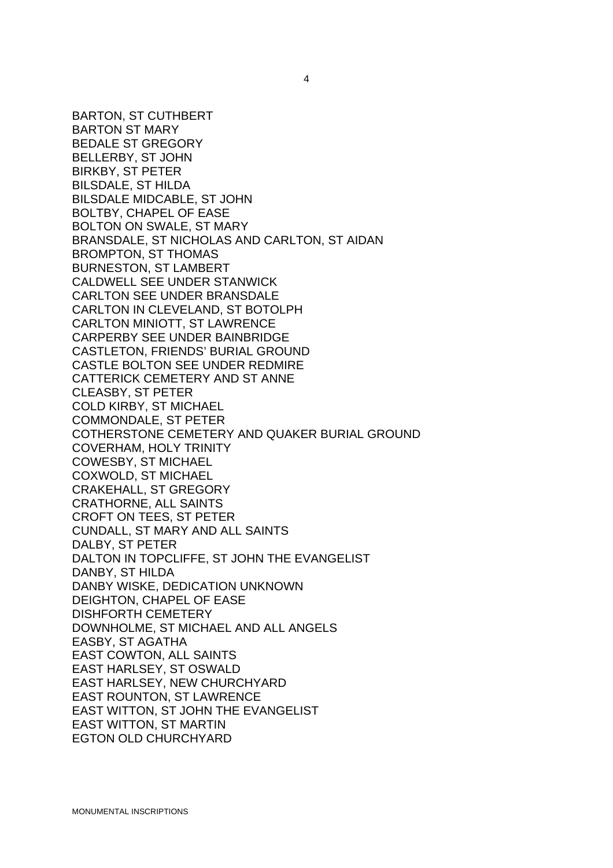BARTON, ST CUTHBERT BARTON ST MARY BEDALE ST GREGORY BELLERBY, ST JOHN BIRKBY, ST PETER BILSDALE, ST HILDA BILSDALE MIDCABLE, ST JOHN BOLTBY, CHAPEL OF EASE BOLTON ON SWALE, ST MARY BRANSDALE, ST NICHOLAS AND CARLTON, ST AIDAN BROMPTON, ST THOMAS BURNESTON, ST LAMBERT CALDWELL SEE UNDER STANWICK CARLTON SEE UNDER BRANSDALE CARLTON IN CLEVELAND, ST BOTOLPH CARLTON MINIOTT, ST LAWRENCE CARPERBY SEE UNDER BAINBRIDGE CASTLETON, FRIENDS' BURIAL GROUND CASTLE BOLTON SEE UNDER REDMIRE CATTERICK CEMETERY AND ST ANNE CLEASBY, ST PETER COLD KIRBY, ST MICHAEL COMMONDALE, ST PETER COTHERSTONE CEMETERY AND QUAKER BURIAL GROUND COVERHAM, HOLY TRINITY COWESBY, ST MICHAEL COXWOLD, ST MICHAEL CRAKEHALL, ST GREGORY CRATHORNE, ALL SAINTS CROFT ON TEES, ST PETER CUNDALL, ST MARY AND ALL SAINTS DALBY, ST PETER DALTON IN TOPCLIFFE, ST JOHN THE EVANGELIST DANBY, ST HILDA DANBY WISKE, DEDICATION UNKNOWN DEIGHTON, CHAPEL OF EASE DISHFORTH CEMETERY DOWNHOLME, ST MICHAEL AND ALL ANGELS EASBY, ST AGATHA EAST COWTON, ALL SAINTS EAST HARLSEY, ST OSWALD EAST HARLSEY, NEW CHURCHYARD EAST ROUNTON, ST LAWRENCE EAST WITTON, ST JOHN THE EVANGELIST EAST WITTON, ST MARTIN EGTON OLD CHURCHYARD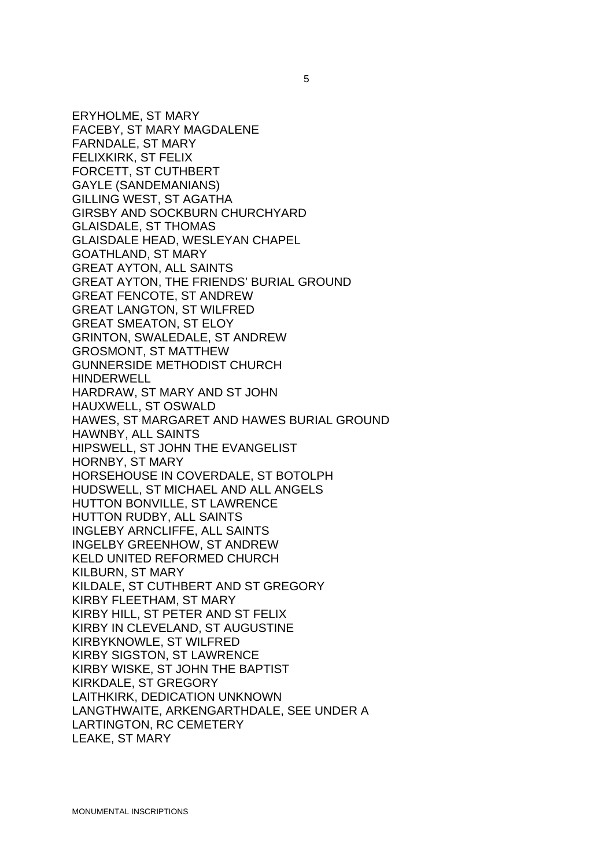ERYHOLME, ST MARY FACEBY, ST MARY MAGDALENE FARNDALE, ST MARY FELIXKIRK, ST FELIX FORCETT, ST CUTHBERT GAYLE (SANDEMANIANS) GILLING WEST, ST AGATHA GIRSBY AND SOCKBURN CHURCHYARD GLAISDALE, ST THOMAS GLAISDALE HEAD, WESLEYAN CHAPEL GOATHLAND, ST MARY GREAT AYTON, ALL SAINTS GREAT AYTON, THE FRIENDS' BURIAL GROUND GREAT FENCOTE, ST ANDREW GREAT LANGTON, ST WILFRED GREAT SMEATON, ST ELOY GRINTON, SWALEDALE, ST ANDREW GROSMONT, ST MATTHEW GUNNERSIDE METHODIST CHURCH HINDERWELL HARDRAW, ST MARY AND ST JOHN HAUXWELL, ST OSWALD HAWES, ST MARGARET AND HAWES BURIAL GROUND HAWNBY, ALL SAINTS HIPSWELL, ST JOHN THE EVANGELIST HORNBY, ST MARY HORSEHOUSE IN COVERDALE, ST BOTOLPH HUDSWELL, ST MICHAEL AND ALL ANGELS HUTTON BONVILLE, ST LAWRENCE HUTTON RUDBY, ALL SAINTS INGLEBY ARNCLIFFE, ALL SAINTS INGELBY GREENHOW, ST ANDREW KELD UNITED REFORMED CHURCH KILBURN, ST MARY KILDALE, ST CUTHBERT AND ST GREGORY KIRBY FLEETHAM, ST MARY KIRBY HILL, ST PETER AND ST FELIX KIRBY IN CLEVELAND, ST AUGUSTINE KIRBYKNOWLE, ST WILFRED KIRBY SIGSTON, ST LAWRENCE KIRBY WISKE, ST JOHN THE BAPTIST KIRKDALE, ST GREGORY LAITHKIRK, DEDICATION UNKNOWN LANGTHWAITE, ARKENGARTHDALE, SEE UNDER A LARTINGTON, RC CEMETERY LEAKE, ST MARY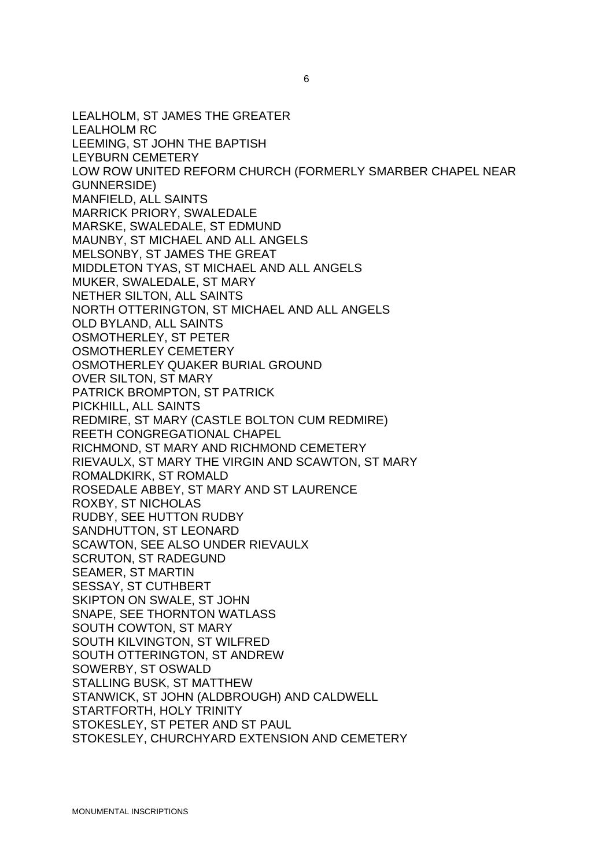LEALHOLM, ST JAMES THE GREATER LEALHOLM RC LEEMING, ST JOHN THE BAPTISH LEYBURN CEMETERY LOW ROW UNITED REFORM CHURCH (FORMERLY SMARBER CHAPEL NEAR GUNNERSIDE) MANFIELD, ALL SAINTS MARRICK PRIORY, SWALEDALE MARSKE, SWALEDALE, ST EDMUND MAUNBY, ST MICHAEL AND ALL ANGELS MELSONBY, ST JAMES THE GREAT MIDDLETON TYAS, ST MICHAEL AND ALL ANGELS MUKER, SWALEDALE, ST MARY NETHER SILTON, ALL SAINTS NORTH OTTERINGTON, ST MICHAEL AND ALL ANGELS OLD BYLAND, ALL SAINTS OSMOTHERLEY, ST PETER OSMOTHERLEY CEMETERY OSMOTHERLEY QUAKER BURIAL GROUND OVER SILTON, ST MARY PATRICK BROMPTON, ST PATRICK PICKHILL, ALL SAINTS REDMIRE, ST MARY (CASTLE BOLTON CUM REDMIRE) REETH CONGREGATIONAL CHAPEL RICHMOND, ST MARY AND RICHMOND CEMETERY RIEVAULX, ST MARY THE VIRGIN AND SCAWTON, ST MARY ROMALDKIRK, ST ROMALD ROSEDALE ABBEY, ST MARY AND ST LAURENCE ROXBY, ST NICHOLAS RUDBY, SEE HUTTON RUDBY SANDHUTTON, ST LEONARD SCAWTON, SEE ALSO UNDER RIEVAULX SCRUTON, ST RADEGUND SEAMER, ST MARTIN SESSAY, ST CUTHBERT SKIPTON ON SWALE, ST JOHN SNAPE, SEE THORNTON WATLASS SOUTH COWTON, ST MARY SOUTH KILVINGTON, ST WILFRED SOUTH OTTERINGTON, ST ANDREW SOWERBY, ST OSWALD STALLING BUSK, ST MATTHEW STANWICK, ST JOHN (ALDBROUGH) AND CALDWELL STARTFORTH, HOLY TRINITY STOKESLEY, ST PETER AND ST PAUL STOKESLEY, CHURCHYARD EXTENSION AND CEMETERY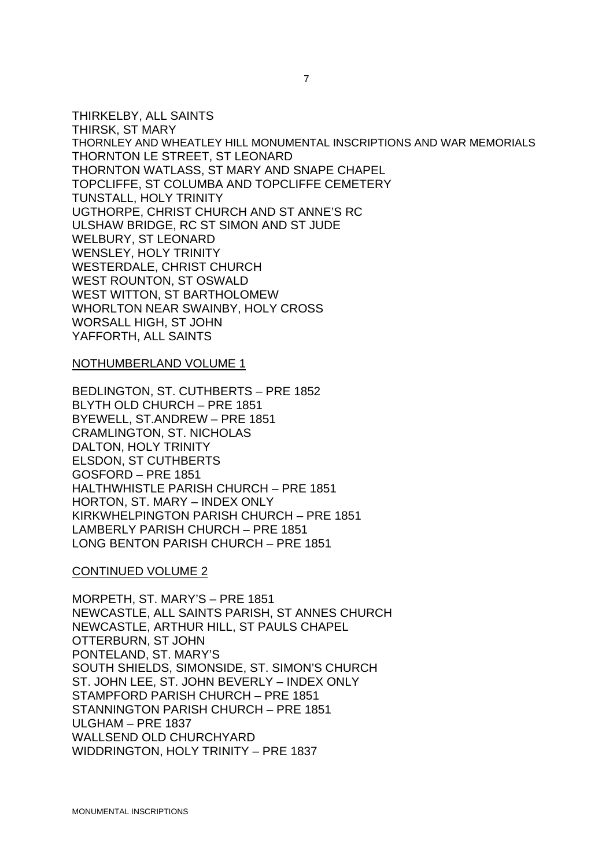THIRKELBY, ALL SAINTS THIRSK, ST MARY THORNLEY AND WHEATLEY HILL MONUMENTAL INSCRIPTIONS AND WAR MEMORIALS THORNTON LE STREET, ST LEONARD THORNTON WATLASS, ST MARY AND SNAPE CHAPEL TOPCLIFFE, ST COLUMBA AND TOPCLIFFE CEMETERY TUNSTALL, HOLY TRINITY UGTHORPE, CHRIST CHURCH AND ST ANNE'S RC ULSHAW BRIDGE, RC ST SIMON AND ST JUDE WELBURY, ST LEONARD WENSLEY, HOLY TRINITY WESTERDALE, CHRIST CHURCH WEST ROUNTON, ST OSWALD WEST WITTON, ST BARTHOLOMEW WHORLTON NEAR SWAINBY, HOLY CROSS WORSALL HIGH, ST JOHN YAFFORTH, ALL SAINTS

NOTHUMBERLAND VOLUME 1

BEDLINGTON, ST. CUTHBERTS – PRE 1852 BLYTH OLD CHURCH – PRE 1851 BYEWELL, ST.ANDREW – PRE 1851 CRAMLINGTON, ST. NICHOLAS DALTON, HOLY TRINITY ELSDON, ST CUTHBERTS GOSFORD – PRE 1851 HALTHWHISTLE PARISH CHURCH – PRE 1851 HORTON, ST. MARY – INDEX ONLY KIRKWHELPINGTON PARISH CHURCH – PRE 1851 LAMBERLY PARISH CHURCH – PRE 1851 LONG BENTON PARISH CHURCH – PRE 1851

CONTINUED VOLUME 2

MORPETH, ST. MARY'S – PRE 1851 NEWCASTLE, ALL SAINTS PARISH, ST ANNES CHURCH NEWCASTLE, ARTHUR HILL, ST PAULS CHAPEL OTTERBURN, ST JOHN PONTELAND, ST. MARY'S SOUTH SHIELDS, SIMONSIDE, ST. SIMON'S CHURCH ST. JOHN LEE, ST. JOHN BEVERLY – INDEX ONLY STAMPFORD PARISH CHURCH – PRE 1851 STANNINGTON PARISH CHURCH – PRE 1851 ULGHAM – PRE 1837 WALLSEND OLD CHURCHYARD WIDDRINGTON, HOLY TRINITY – PRE 1837